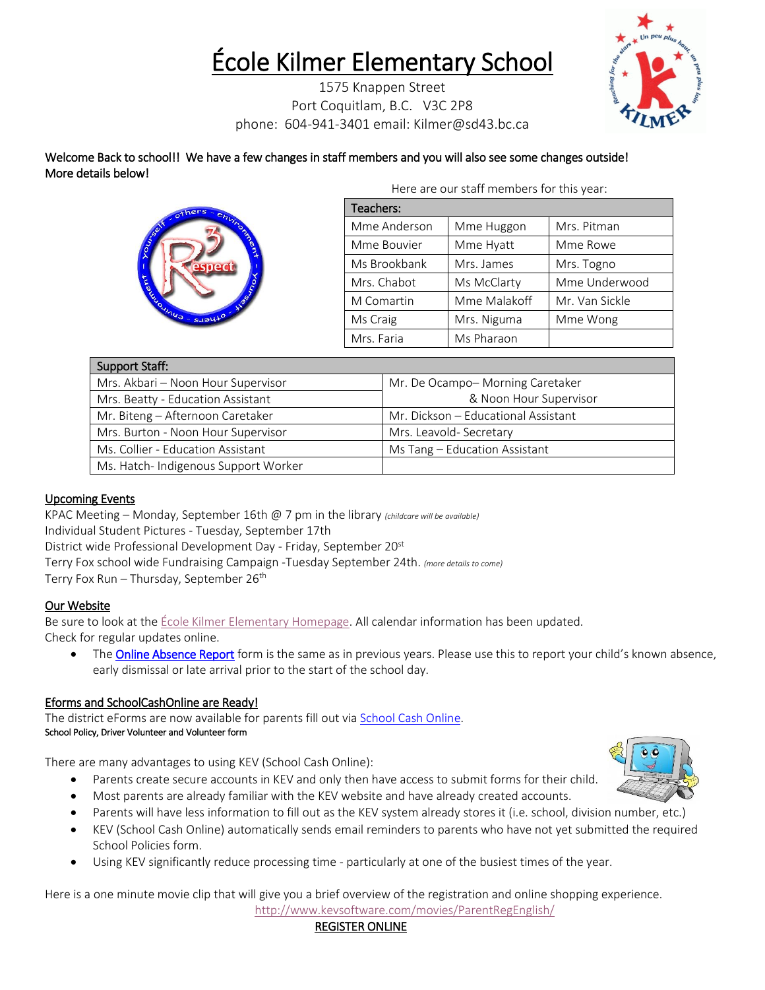# École Kilmer Elementary School

1575 Knappen Street Port Coquitlam, B.C. V3C 2P8 phone: 604-941-3401 email: Kilmer@sd43.bc.ca



Welcome Back to school!! We have a few changes in staff members and you will also see some changes outside! More details below! Here are our staff members for this year:



| Here are our starl members for this year. |              |                |  |  |  |  |  |
|-------------------------------------------|--------------|----------------|--|--|--|--|--|
| Teachers:                                 |              |                |  |  |  |  |  |
| Mme Anderson                              | Mme Huggon   | Mrs. Pitman    |  |  |  |  |  |
| Mme Bouvier                               | Mme Hyatt    | Mme Rowe       |  |  |  |  |  |
| Ms Brookbank                              | Mrs. James   | Mrs. Togno     |  |  |  |  |  |
| Mrs. Chabot                               | Ms McClarty  | Mme Underwood  |  |  |  |  |  |
| M Comartin                                | Mme Malakoff | Mr. Van Sickle |  |  |  |  |  |
| Ms Craig                                  | Mrs. Niguma  | Mme Wong       |  |  |  |  |  |
| Mrs. Faria                                | Ms Pharaon   |                |  |  |  |  |  |

| Support Staff:                       |                                     |  |  |
|--------------------------------------|-------------------------------------|--|--|
| Mrs. Akbari - Noon Hour Supervisor   | Mr. De Ocampo-Morning Caretaker     |  |  |
| Mrs. Beatty - Education Assistant    | & Noon Hour Supervisor              |  |  |
| Mr. Biteng - Afternoon Caretaker     | Mr. Dickson - Educational Assistant |  |  |
| Mrs. Burton - Noon Hour Supervisor   | Mrs. Leavold- Secretary             |  |  |
| Ms. Collier - Education Assistant    | Ms Tang - Education Assistant       |  |  |
| Ms. Hatch- Indigenous Support Worker |                                     |  |  |

## Upcoming Events

KPAC Meeting – Monday, September 16th @ 7 pm in the library *(childcare will be available)* Individual Student Pictures - Tuesday, September 17th District wide Professional Development Day - Friday, September 20st Terry Fox school wide Fundraising Campaign -Tuesday September 24th. *(more details to come)* Terry Fox Run – Thursday, September 26<sup>th</sup>

## Our Website

Be sure to look at th[e École Kilmer Elementary Homepage.](http://www.sd43.bc.ca/school/kilmer/Pages/default.aspx) All calendar information has been updated. Check for regular updates online.

• Th[e Online Absence Report](https://www2016.sd43.bc.ca/eforms/_layouts/15/FormServer.aspx?XsnLocation=http://www2016.sd43.bc.ca/eforms/AbsenceReportForm/Forms/template.xsn&OpenIn=browser&SaveLocation=http://www2016.sd43.bc.ca/eforms/AbsenceReportForm&Source=http://www2016.sd43.bc.ca/eforms/AbsenceReportForm) form is the same as in previous years. Please use this to report your child's known absence, early dismissal or late arrival prior to the start of the school day.

## Eforms and SchoolCashOnline are Ready!

The district eForms are now available for parents fill out via [School Cash Online.](https://www.schoolcashonline.com/) School Policy, Driver Volunteer and Volunteer form

There are many advantages to using KEV (School Cash Online):

- Parents create secure accounts in KEV and only then have access to submit forms for their child.
- Most parents are already familiar with the KEV website and have already created accounts.
- Parents will have less information to fill out as the KEV system already stores it (i.e. school, division number, etc.)
- KEV (School Cash Online) automatically sends email reminders to parents who have not yet submitted the required School Policies form.
- Using KEV significantly reduce processing time particularly at one of the busiest times of the year.

Here is a one minute movie clip that will give you a brief overview of the registration and online shopping experience. <http://www.kevsoftware.com/movies/ParentRegEnglish/>

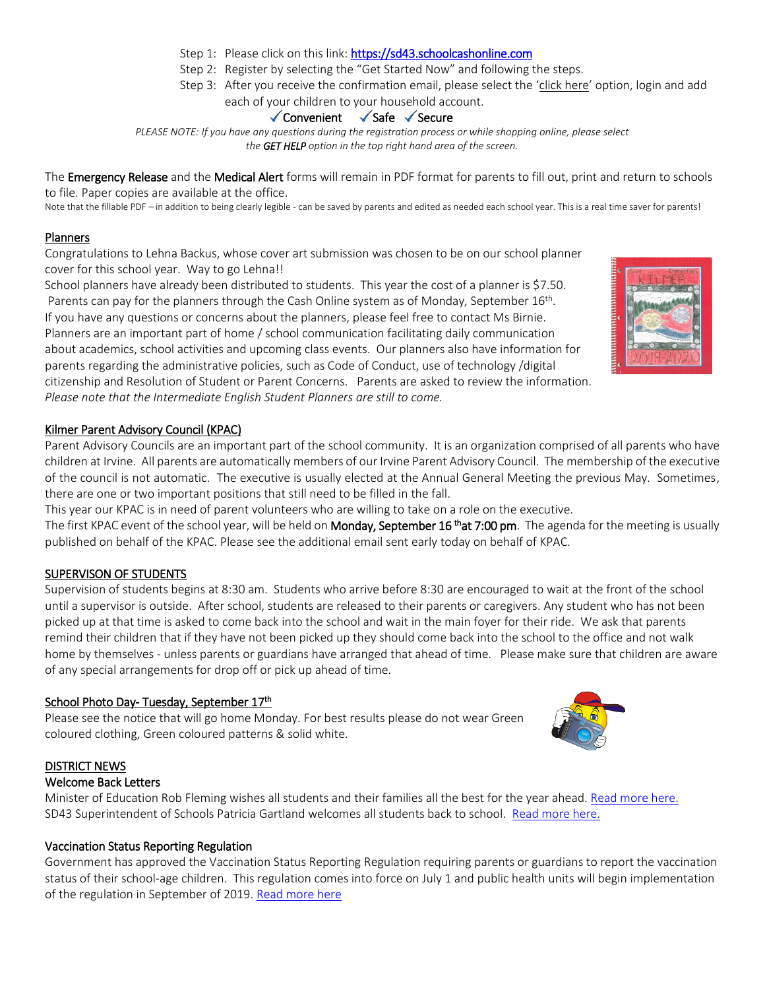- Step 1: Please click on this link: [https://sd43.schoolcashonline.com](https://sd43.schoolcashonline.com/)
- Step 2: Register by selecting the "Get Started Now" and following the steps.
- Step 3: After you receive the confirmation email, please select the 'click here' option, login and add each of your children to your household account.

## $\checkmark$  Convenient  $\checkmark$  Safe  $\checkmark$  Secure

*PLEASE NOTE: If you have any questions during the registration process or while shopping online, please select the GET HELP option in the top right hand area of the screen.*

The Emergency Release and the Medical Alert forms will remain in PDF format for parents to fill out, print and return to schools to file. Paper copies are available at the office.

Note that the fillable PDF – in addition to being clearly legible - can be saved by parents and edited as needed each school year. This is a real time saver for parents!

## Planners

Congratulations to Lehna Backus, whose cover art submission was chosen to be on our school planner cover for this school year. Way to go Lehna!!

School planners have already been distributed to students. This year the cost of a planner is \$7.50. Parents can pay for the planners through the Cash Online system as of Monday, September 16<sup>th</sup>. If you have any questions or concerns about the planners, please feel free to contact Ms Birnie. Planners are an important part of home / school communication facilitating daily communication about academics, school activities and upcoming class events. Our planners also have information for parents regarding the administrative policies, such as Code of Conduct, use of technology /digital citizenship and Resolution of Student or Parent Concerns. Parents are asked to review the information. *Please note that the Intermediate English Student Planners are still to come.* 

## Kilmer Parent Advisory Council (KPAC)

Parent Advisory Councils are an important part of the school community. It is an organization comprised of all parents who have children at Irvine. All parents are automatically members of our Irvine Parent Advisory Council. The membership of the executive of the council is not automatic. The executive is usually elected at the Annual General Meeting the previous May. Sometimes, there are one or two important positions that still need to be filled in the fall.

This year our KPAC is in need of parent volunteers who are willing to take on a role on the executive.

The first KPAC event of the school year, will be held on **Monday, September 16 <sup>th</sup>at 7:00 pm**. The agenda for the meeting is usually published on behalf of the KPAC. Please see the additional email sent early today on behalf of KPAC.

## SUPERVISON OF STUDENTS

Supervision of students begins at 8:30 am. Students who arrive before 8:30 are encouraged to wait at the front of the school until a supervisor is outside. After school, students are released to their parents or caregivers. Any student who has not been picked up at that time is asked to come back into the school and wait in the main foyer for their ride. We ask that parents remind their children that if they have not been picked up they should come back into the school to the office and not walk home by themselves - unless parents or guardians have arranged that ahead of time. Please make sure that children are aware of any special arrangements for drop off or pick up ahead of time.

## School Photo Day- Tuesday, September 17<sup>th</sup>

Please see the notice that will go home Monday. For best results please do not wear Green coloured clothing, Green coloured patterns & solid white.

## DISTRICT NEWS

## Welcome Back Letters

Minister of Education Rob Fleming wishes all students and their families all the best for the year ahead[. Read more here.](https://www.sd43.bc.ca/Pages/newsitem.aspx?ItemID=484&ListID=ed550773-e9ff-4e20-9964-4e1b213f518c&TemplateID=Announcement_Item#/=) SD43 Superintendent of Schools Patricia Gartland welcomes all students back to school. [Read more here.](https://www.sd43.bc.ca/Pages/newsitem.aspx?ItemID=485&ListID=ed550773-e9ff-4e20-9964-4e1b213f518c&TemplateID=Announcement_Item#/=)

## Vaccination Status Reporting Regulation

Government has approved the Vaccination Status Reporting Regulation requiring parents or guardians to report the vaccination status of their school-age children. This regulation comes into force on July 1 and public health units will begin implementation of the regulation in September of 2019[. Read more here](https://immunizebc.ca/vaccination-status-reporting-regulation)